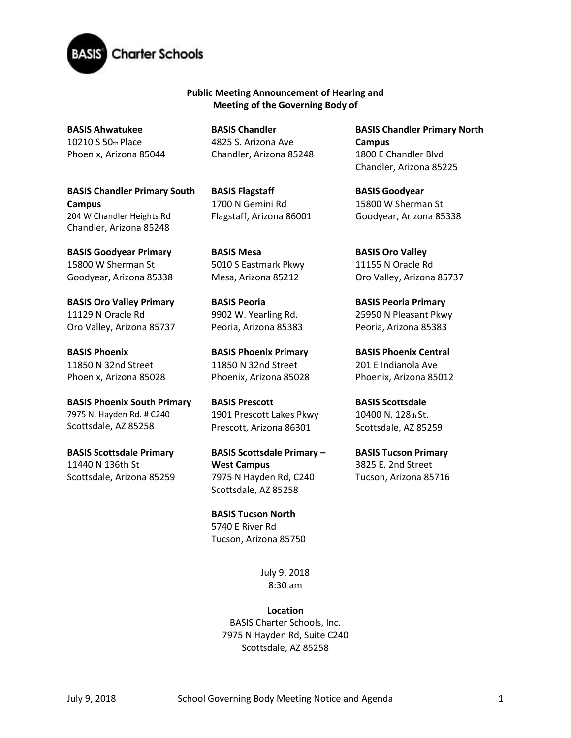

**Public Meeting Announcement of Hearing and Meeting of the Governing Body of**

**BASIS Ahwatukee**  10210 S 50th Place Phoenix, Arizona 85044

**BASIS Chandler Primary South Campus**  204 W Chandler Heights Rd Chandler, Arizona 85248

**BASIS Goodyear Primary**  15800 W Sherman St Goodyear, Arizona 85338

**BASIS Oro Valley Primary**  11129 N Oracle Rd Oro Valley, Arizona 85737

**BASIS Phoenix**  11850 N 32nd Street Phoenix, Arizona 85028

**BASIS Phoenix South Primary**  7975 N. Hayden Rd. # C240 Scottsdale, AZ 85258

**BASIS Scottsdale Primary**  11440 N 136th St Scottsdale, Arizona 85259 **BASIS Chandler**  4825 S. Arizona Ave Chandler, Arizona 85248

**BASIS Flagstaff**  1700 N Gemini Rd Flagstaff, Arizona 86001

**BASIS Mesa**  5010 S Eastmark Pkwy Mesa, Arizona 85212

**BASIS Peoria**  9902 W. Yearling Rd. Peoria, Arizona 85383

**BASIS Phoenix Primary** 11850 N 32nd Street Phoenix, Arizona 85028

**BASIS Prescott**  1901 Prescott Lakes Pkwy Prescott, Arizona 86301

**BASIS Scottsdale Primary – West Campus** 7975 N Hayden Rd, C240 Scottsdale, AZ 85258

**BASIS Tucson North**  5740 E River Rd Tucson, Arizona 85750

> July 9, 2018 8:30 am

**Location** BASIS Charter Schools, Inc. 7975 N Hayden Rd, Suite C240 Scottsdale, AZ 85258

**BASIS Chandler Primary North Campus**  1800 E Chandler Blvd Chandler, Arizona 85225

**BASIS Goodyear**  15800 W Sherman St Goodyear, Arizona 85338

**BASIS Oro Valley**  11155 N Oracle Rd Oro Valley, Arizona 85737

**BASIS Peoria Primary**  25950 N Pleasant Pkwy Peoria, Arizona 85383

**BASIS Phoenix Central**  201 E Indianola Ave Phoenix, Arizona 85012

**BASIS Scottsdale**  10400 N. 128th St. Scottsdale, AZ 85259

**BASIS Tucson Primary**  3825 E. 2nd Street Tucson, Arizona 85716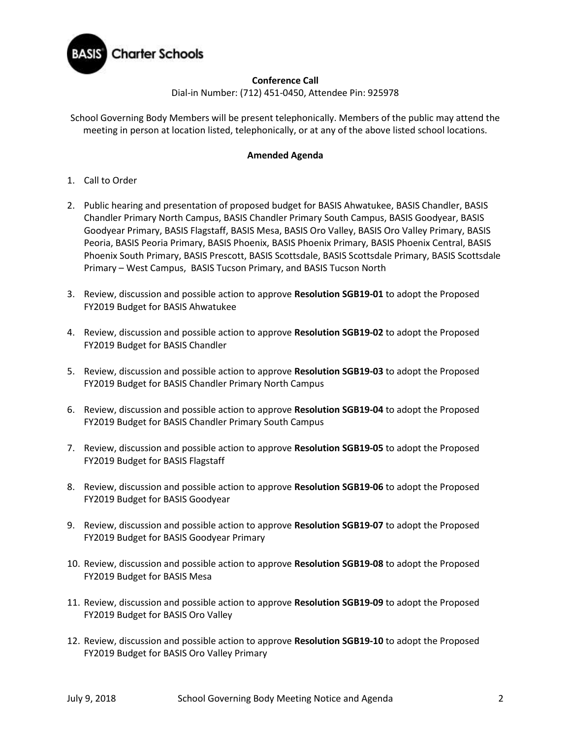

## **Conference Call**

Dial-in Number: (712) 451-0450, Attendee Pin: 925978

School Governing Body Members will be present telephonically. Members of the public may attend the meeting in person at location listed, telephonically, or at any of the above listed school locations.

## **Amended Agenda**

- 1. Call to Order
- 2. Public hearing and presentation of proposed budget for BASIS Ahwatukee, BASIS Chandler, BASIS Chandler Primary North Campus, BASIS Chandler Primary South Campus, BASIS Goodyear, BASIS Goodyear Primary, BASIS Flagstaff, BASIS Mesa, BASIS Oro Valley, BASIS Oro Valley Primary, BASIS Peoria, BASIS Peoria Primary, BASIS Phoenix, BASIS Phoenix Primary, BASIS Phoenix Central, BASIS Phoenix South Primary, BASIS Prescott, BASIS Scottsdale, BASIS Scottsdale Primary, BASIS Scottsdale Primary – West Campus, BASIS Tucson Primary, and BASIS Tucson North
- 3. Review, discussion and possible action to approve **Resolution SGB19-01** to adopt the Proposed FY2019 Budget for BASIS Ahwatukee
- 4. Review, discussion and possible action to approve **Resolution SGB19-02** to adopt the Proposed FY2019 Budget for BASIS Chandler
- 5. Review, discussion and possible action to approve **Resolution SGB19-03** to adopt the Proposed FY2019 Budget for BASIS Chandler Primary North Campus
- 6. Review, discussion and possible action to approve **Resolution SGB19-04** to adopt the Proposed FY2019 Budget for BASIS Chandler Primary South Campus
- 7. Review, discussion and possible action to approve **Resolution SGB19-05** to adopt the Proposed FY2019 Budget for BASIS Flagstaff
- 8. Review, discussion and possible action to approve **Resolution SGB19-06** to adopt the Proposed FY2019 Budget for BASIS Goodyear
- 9. Review, discussion and possible action to approve **Resolution SGB19-07** to adopt the Proposed FY2019 Budget for BASIS Goodyear Primary
- 10. Review, discussion and possible action to approve **Resolution SGB19-08** to adopt the Proposed FY2019 Budget for BASIS Mesa
- 11. Review, discussion and possible action to approve **Resolution SGB19-09** to adopt the Proposed FY2019 Budget for BASIS Oro Valley
- 12. Review, discussion and possible action to approve **Resolution SGB19-10** to adopt the Proposed FY2019 Budget for BASIS Oro Valley Primary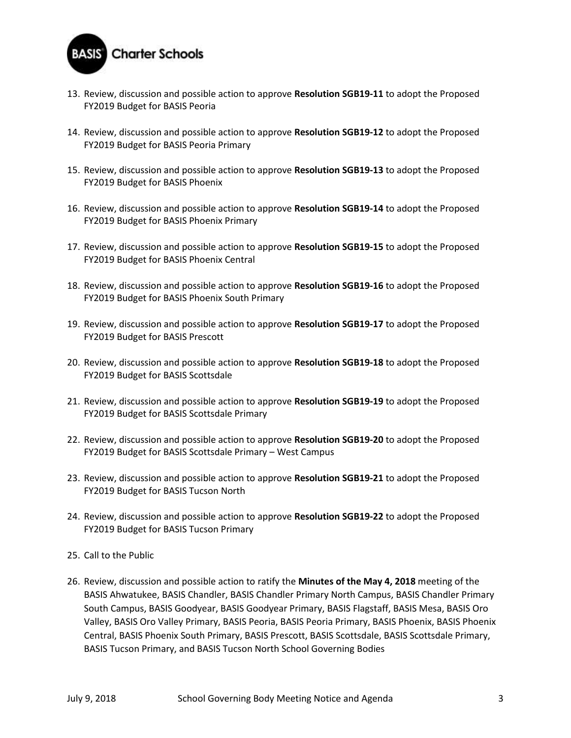

- 13. Review, discussion and possible action to approve **Resolution SGB19-11** to adopt the Proposed FY2019 Budget for BASIS Peoria
- 14. Review, discussion and possible action to approve **Resolution SGB19-12** to adopt the Proposed FY2019 Budget for BASIS Peoria Primary
- 15. Review, discussion and possible action to approve **Resolution SGB19-13** to adopt the Proposed FY2019 Budget for BASIS Phoenix
- 16. Review, discussion and possible action to approve **Resolution SGB19-14** to adopt the Proposed FY2019 Budget for BASIS Phoenix Primary
- 17. Review, discussion and possible action to approve **Resolution SGB19-15** to adopt the Proposed FY2019 Budget for BASIS Phoenix Central
- 18. Review, discussion and possible action to approve **Resolution SGB19-16** to adopt the Proposed FY2019 Budget for BASIS Phoenix South Primary
- 19. Review, discussion and possible action to approve **Resolution SGB19-17** to adopt the Proposed FY2019 Budget for BASIS Prescott
- 20. Review, discussion and possible action to approve **Resolution SGB19-18** to adopt the Proposed FY2019 Budget for BASIS Scottsdale
- 21. Review, discussion and possible action to approve **Resolution SGB19-19** to adopt the Proposed FY2019 Budget for BASIS Scottsdale Primary
- 22. Review, discussion and possible action to approve **Resolution SGB19-20** to adopt the Proposed FY2019 Budget for BASIS Scottsdale Primary – West Campus
- 23. Review, discussion and possible action to approve **Resolution SGB19-21** to adopt the Proposed FY2019 Budget for BASIS Tucson North
- 24. Review, discussion and possible action to approve **Resolution SGB19-22** to adopt the Proposed FY2019 Budget for BASIS Tucson Primary
- 25. Call to the Public
- 26. Review, discussion and possible action to ratify the **Minutes of the May 4, 2018** meeting of the BASIS Ahwatukee, BASIS Chandler, BASIS Chandler Primary North Campus, BASIS Chandler Primary South Campus, BASIS Goodyear, BASIS Goodyear Primary, BASIS Flagstaff, BASIS Mesa, BASIS Oro Valley, BASIS Oro Valley Primary, BASIS Peoria, BASIS Peoria Primary, BASIS Phoenix, BASIS Phoenix Central, BASIS Phoenix South Primary, BASIS Prescott, BASIS Scottsdale, BASIS Scottsdale Primary, BASIS Tucson Primary, and BASIS Tucson North School Governing Bodies